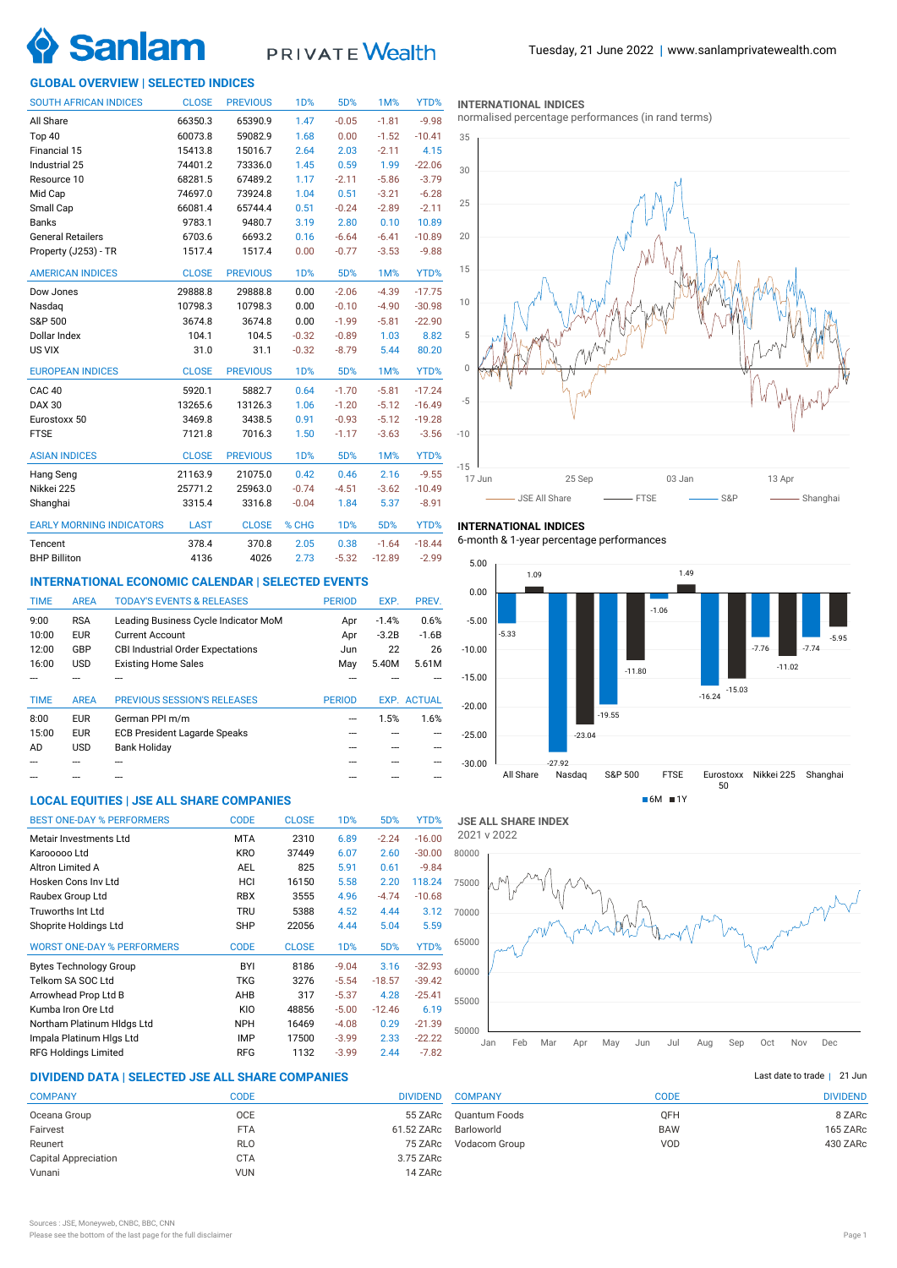

# PRIVATE Wealth

# **GLOBAL OVERVIEW | SELECTED INDICES**

| <b>SOUTH AFRICAN INDICES</b>    | <b>CLOSE</b> | <b>PREVIOUS</b> | 1 <sub>D</sub> % | 5D%        | 1M%      | YTD%     |
|---------------------------------|--------------|-----------------|------------------|------------|----------|----------|
| All Share                       | 66350.3      | 65390.9         | 1.47             | $-0.05$    | $-1.81$  | $-9.98$  |
| Top 40                          | 60073.8      | 59082.9         | 1.68             | 0.00       | $-1.52$  | $-10.41$ |
| Financial 15                    | 15413.8      | 15016.7         | 2.64             | 2.03       | $-2.11$  | 4.15     |
| Industrial 25                   | 74401.2      | 73336.0         | 1.45             | 0.59       | 1.99     | $-22.06$ |
| Resource 10                     | 68281.5      | 67489.2         | 1.17             | $-2.11$    | $-5.86$  | $-3.79$  |
| Mid Cap                         | 74697.0      | 73924.8         | 1.04             | 0.51       | $-3.21$  | $-6.28$  |
| Small Cap                       | 66081.4      | 65744.4         | 0.51             | $-0.24$    | $-2.89$  | $-2.11$  |
| <b>Banks</b>                    | 9783.1       | 9480.7          | 3.19             | 2.80       | 0.10     | 10.89    |
| <b>General Retailers</b>        | 6703.6       | 6693.2          | 0.16             | $-6.64$    | $-6.41$  | $-10.89$ |
| Property (J253) - TR            | 1517.4       | 1517.4          | 0.00             | $-0.77$    | $-3.53$  | $-9.88$  |
| <b>AMERICAN INDICES</b>         | <b>CLOSE</b> | <b>PREVIOUS</b> | 1 <sub>D</sub> % | 5D%        | 1M%      | YTD%     |
| Dow Jones                       | 29888.8      | 29888.8         | 0.00             | $-2.06$    | $-4.39$  | $-17.75$ |
| Nasdaq                          | 10798.3      | 10798.3         | 0.00             | $-0.10$    | $-4.90$  | $-30.98$ |
| S&P 500                         | 3674.8       | 3674.8          | 0.00             | $-1.99$    | $-5.81$  | $-22.90$ |
| Dollar Index                    | 104.1        | 104.5           | $-0.32$          | $-0.89$    | 1.03     | 8.82     |
| US VIX                          | 31.0         | 31.1            | $-0.32$          | $-8.79$    | 5.44     | 80.20    |
| <b>EUROPEAN INDICES</b>         | <b>CLOSE</b> | <b>PREVIOUS</b> | <b>1D%</b>       | 5D%        | 1M%      | YTD%     |
| CAC <sub>40</sub>               | 5920.1       | 5882.7          | 0.64             | $-1.70$    | $-5.81$  | $-17.24$ |
| <b>DAX 30</b>                   | 13265.6      | 13126.3         | 1.06             | $-1.20$    | $-5.12$  | $-16.49$ |
| Eurostoxx 50                    | 3469.8       | 3438.5          | 0.91             | $-0.93$    | $-5.12$  | $-19.28$ |
| <b>FTSE</b>                     | 7121.8       | 7016.3          | 1.50             | $-1.17$    | $-3.63$  | $-3.56$  |
| <b>ASIAN INDICES</b>            | <b>CLOSE</b> | <b>PREVIOUS</b> | <b>1D%</b>       | 5D%        | 1M%      | YTD%     |
| Hang Seng                       | 21163.9      | 21075.0         | 0.42             | 0.46       | 2.16     | $-9.55$  |
| Nikkei 225                      | 25771.2      | 25963.0         | $-0.74$          | $-4.51$    | $-3.62$  | $-10.49$ |
| Shanghai                        | 3315.4       | 3316.8          | $-0.04$          | 1.84       | 5.37     | $-8.91$  |
| <b>EARLY MORNING INDICATORS</b> | <b>LAST</b>  | <b>CLOSE</b>    | % CHG            | <b>1D%</b> | 5D%      | YTD%     |
| Tencent                         | 378.4        | 370.8           | 2.05             | 0.38       | $-1.64$  | $-18.44$ |
| <b>BHP Billiton</b>             | 4136         | 4026            | 2.73             | $-5.32$    | $-12.89$ | $-2.99$  |

## **INTERNATIONAL ECONOMIC CALENDAR | SELECTED EVENTS**

| <b>TIME</b> | <b>AREA</b> | <b>TODAY'S EVENTS &amp; RELEASES</b>     | <b>PERIOD</b> | EXP.    | PREV.              |
|-------------|-------------|------------------------------------------|---------------|---------|--------------------|
| 9:00        | <b>RSA</b>  | Leading Business Cycle Indicator MoM     | Apr           | $-1.4%$ | 0.6%               |
| 10:00       | <b>EUR</b>  | <b>Current Account</b>                   | Apr           | $-3.2B$ | $-1.6B$            |
| 12:00       | GBP         | <b>CBI Industrial Order Expectations</b> | Jun           | 22      | 26                 |
| 16:00       | <b>USD</b>  | <b>Existing Home Sales</b>               | May           | 5.40M   | 5.61M              |
|             |             |                                          |               |         |                    |
|             |             |                                          |               |         |                    |
| <b>TIME</b> | <b>AREA</b> | <b>PREVIOUS SESSION'S RELEASES</b>       | <b>PERIOD</b> |         | <b>EXP. ACTUAL</b> |
| 8:00        | <b>EUR</b>  | German PPI m/m                           |               | 1.5%    | 1.6%               |
| 15:00       | <b>EUR</b>  | <b>ECB President Lagarde Speaks</b>      |               |         |                    |
| AD          | <b>USD</b>  | <b>Bank Holiday</b>                      |               |         |                    |
|             |             |                                          |               |         |                    |

# **LOCAL EQUITIES | JSE ALL SHARE COMPANIES**

| <b>BEST ONE-DAY % PERFORMERS</b>  | <b>CODE</b> | <b>CLOSE</b> | 1D%              | 5D%      | YTD%     |
|-----------------------------------|-------------|--------------|------------------|----------|----------|
| Metair Investments Ltd            | <b>MTA</b>  | 2310         | 6.89             | $-2.24$  | $-16.00$ |
| Karooooo Ltd                      | <b>KRO</b>  | 37449        | 6.07             | 2.60     | $-30.00$ |
| Altron Limited A                  | <b>AEL</b>  | 825          | 5.91             | 0.61     | $-9.84$  |
| Hosken Cons Inv Ltd               | HCI         | 16150        | 5.58             | 2.20     | 118.24   |
| Raubex Group Ltd                  | <b>RBX</b>  | 3555         | 4.96             | $-4.74$  | $-10.68$ |
| Truworths Int Ltd                 | <b>TRU</b>  | 5388         | 4.52             | 4.44     | 3.12     |
| Shoprite Holdings Ltd             | <b>SHP</b>  | 22056        | 4.44             | 5.04     | 5.59     |
| <b>WORST ONE-DAY % PERFORMERS</b> | <b>CODE</b> | <b>CLOSE</b> | 1 <sub>D</sub> % | 5D%      | YTD%     |
| <b>Bytes Technology Group</b>     | BYI         | 8186         | $-9.04$          | 3.16     | $-32.93$ |
| Telkom SA SOC Ltd                 | TKG         | 3276         | $-5.54$          | $-18.57$ | $-39.42$ |
| Arrowhead Prop Ltd B              | AHB         | 317          | $-5.37$          | 4.28     | $-25.41$ |
| Kumba Iron Ore Ltd                | KIO         | 48856        | $-5.00$          | $-12.46$ | 6.19     |
| Northam Platinum HIdgs Ltd        | <b>NPH</b>  | 16469        | $-4.08$          | 0.29     | $-21.39$ |
| Impala Platinum Higs Ltd          | <b>IMP</b>  | 17500        | $-3.99$          | 2.33     | $-22.22$ |
| <b>RFG Holdings Limited</b>       | <b>RFG</b>  | 1132         | $-3.99$          | 2.44     | $-7.82$  |

# **DIVIDEND DATA | SELECTED JSE ALL SHARE COMPANIES |**

| <b>COMPANY</b>              | CODE       | <b>DIVIDEND</b> |
|-----------------------------|------------|-----------------|
| Oceana Group                | <b>OCE</b> | 55 ZARc         |
| Fairvest                    | <b>FTA</b> | 61.52 ZARc      |
| Reunert                     | <b>RLO</b> | 75 ZARc         |
| <b>Capital Appreciation</b> | <b>CTA</b> | 3.75 ZARc       |
| Vunani                      | <b>VUN</b> | 14 ZARc         |
|                             |            |                 |

#### **INTERNATIONAL INDICES**

normalised percentage performances (in rand terms)



# **INTERNATIONAL INDICES**

6-month & 1-year percentage performances



**JSE ALL SHARE INDEX** 2021 v 2022



# Last date to trade | 21 Jun

| <b>COMPANY</b> | CODE       | <b>DIVIDEND</b> |
|----------------|------------|-----------------|
| Quantum Foods  | <b>OFH</b> | 8 ZARc          |
| Barloworld     | <b>BAW</b> | 165 ZARc        |
| Vodacom Group  | VOD        | 430 ZARc        |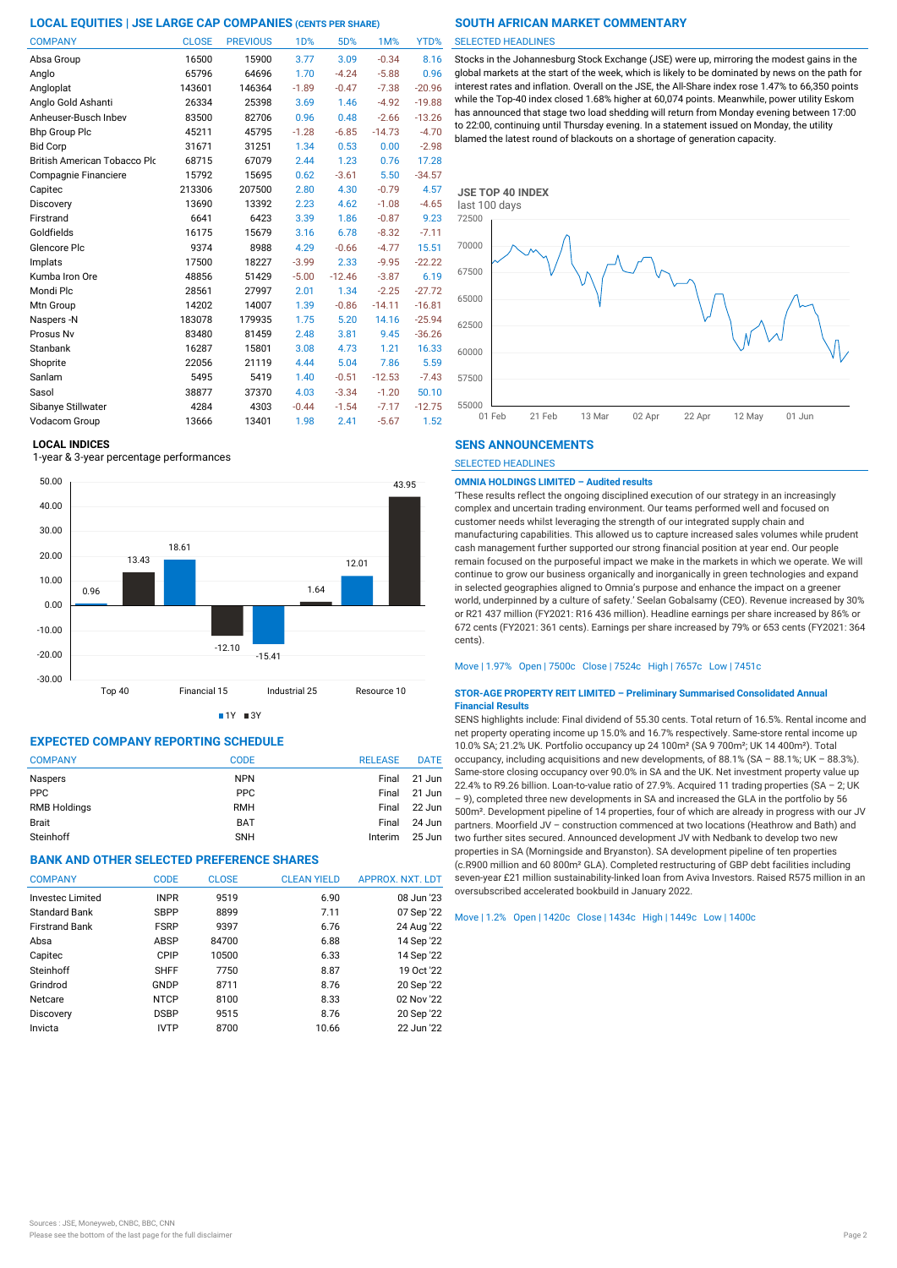| <b>COMPANY</b>                      | <b>CLOSE</b> | <b>PREVIOUS</b> | 1D%     | 5D%      | 1M%      | YTD%     |
|-------------------------------------|--------------|-----------------|---------|----------|----------|----------|
| Absa Group                          | 16500        | 15900           | 3.77    | 3.09     | $-0.34$  | 8.16     |
| Anglo                               | 65796        | 64696           | 1.70    | $-4.24$  | $-5.88$  | 0.96     |
| Angloplat                           | 143601       | 146364          | $-1.89$ | $-0.47$  | $-7.38$  | $-20.96$ |
| Anglo Gold Ashanti                  | 26334        | 25398           | 3.69    | 1.46     | $-4.92$  | $-19.88$ |
| Anheuser-Busch Inbev                | 83500        | 82706           | 0.96    | 0.48     | $-2.66$  | $-13.26$ |
| <b>Bhp Group Plc</b>                | 45211        | 45795           | $-1.28$ | $-6.85$  | $-14.73$ | $-4.70$  |
| <b>Bid Corp</b>                     | 31671        | 31251           | 1.34    | 0.53     | 0.00     | $-2.98$  |
| <b>British American Tobacco Plo</b> | 68715        | 67079           | 2.44    | 1.23     | 0.76     | 17.28    |
| Compagnie Financiere                | 15792        | 15695           | 0.62    | $-3.61$  | 5.50     | $-34.57$ |
| Capitec                             | 213306       | 207500          | 2.80    | 4.30     | $-0.79$  | 4.57     |
| Discovery                           | 13690        | 13392           | 2.23    | 4.62     | $-1.08$  | $-4.65$  |
| Firstrand                           | 6641         | 6423            | 3.39    | 1.86     | $-0.87$  | 9.23     |
| Goldfields                          | 16175        | 15679           | 3.16    | 6.78     | $-8.32$  | $-7.11$  |
| Glencore Plc                        | 9374         | 8988            | 4.29    | $-0.66$  | $-4.77$  | 15.51    |
| Implats                             | 17500        | 18227           | $-3.99$ | 2.33     | $-9.95$  | $-22.22$ |
| Kumba Iron Ore                      | 48856        | 51429           | $-5.00$ | $-12.46$ | $-3.87$  | 6.19     |
| Mondi Plc                           | 28561        | 27997           | 2.01    | 1.34     | $-2.25$  | $-27.72$ |
| Mtn Group                           | 14202        | 14007           | 1.39    | $-0.86$  | $-14.11$ | $-16.81$ |
| Naspers -N                          | 183078       | 179935          | 1.75    | 5.20     | 14.16    | $-25.94$ |
| Prosus Nv                           | 83480        | 81459           | 2.48    | 3.81     | 9.45     | $-36.26$ |
| <b>Stanbank</b>                     | 16287        | 15801           | 3.08    | 4.73     | 1.21     | 16.33    |
| Shoprite                            | 22056        | 21119           | 4.44    | 5.04     | 7.86     | 5.59     |
| Sanlam                              | 5495         | 5419            | 1.40    | $-0.51$  | $-12.53$ | $-7.43$  |
| Sasol                               | 38877        | 37370           | 4.03    | $-3.34$  | $-1.20$  | 50.10    |
| Sibanye Stillwater                  | 4284         | 4303            | $-0.44$ | $-1.54$  | $-7.17$  | $-12.75$ |
| Vodacom Group                       | 13666        | 13401           | 1.98    | 2.41     | $-5.67$  | 1.52     |

### **LOCAL INDICES**

1-year & 3-year percentage performances



 $1Y = 3Y$ 

# **EXPECTED COMPANY REPORTING SCHEDULE**

| <b>COMPANY</b>      | <b>CODE</b> | <b>RELEASE</b> | <b>DATE</b> |
|---------------------|-------------|----------------|-------------|
| Naspers             | <b>NPN</b>  | Final          | 21 Jun      |
| <b>PPC</b>          | <b>PPC</b>  | Final          | 21 Jun      |
| <b>RMB Holdings</b> | <b>RMH</b>  | Final          | 22 Jun      |
| Brait               | <b>BAT</b>  | Final          | 24 Jun      |
| Steinhoff           | <b>SNH</b>  | Interim        | 25 Jun      |

# **BANK AND OTHER SELECTED PREFERENCE SHARES**

| <b>COMPANY</b>          | <b>CODE</b> | <b>CLOSE</b> | <b>CLEAN YIELD</b> | APPROX. NXT. LDT |
|-------------------------|-------------|--------------|--------------------|------------------|
| <b>Invested Limited</b> | <b>INPR</b> | 9519         | 6.90               | 08 Jun '23       |
| <b>Standard Bank</b>    | <b>SBPP</b> | 8899         | 7.11               | 07 Sep '22       |
| <b>Firstrand Bank</b>   | <b>FSRP</b> | 9397         | 6.76               | 24 Aug '22       |
| Absa                    | ABSP        | 84700        | 6.88               | 14 Sep '22       |
| Capitec                 | CPIP        | 10500        | 6.33               | 14 Sep '22       |
| Steinhoff               | <b>SHFF</b> | 7750         | 8.87               | 19 Oct '22       |
| Grindrod                | GNDP        | 8711         | 8.76               | 20 Sep '22       |
| Netcare                 | <b>NTCP</b> | 8100         | 8.33               | 02 Nov '22       |
| Discovery               | <b>DSBP</b> | 9515         | 8.76               | 20 Sep '22       |
| Invicta                 | <b>IVTP</b> | 8700         | 10.66              | 22 Jun '22       |

#### SELECTED HEADLINES

Stocks in the Johannesburg Stock Exchange (JSE) were up, mirroring the modest gains in the global markets at the start of the week, which is likely to be dominated by news on the path for interest rates and inflation. Overall on the JSE, the All-Share index rose 1.47% to 66,350 points while the Top-40 index closed 1.68% higher at 60,074 points. Meanwhile, power utility Eskom has announced that stage two load shedding will return from Monday evening between 17:00 to 22:00, continuing until Thursday evening. In a statement issued on Monday, the utility blamed the latest round of blackouts on a shortage of generation capacity.



# **SENS ANNOUNCEMENTS**

SELECTED HEADLINES

### **OMNIA HOLDINGS LIMITED – Audited results**

'These results reflect the ongoing disciplined execution of our strategy in an increasingly complex and uncertain trading environment. Our teams performed well and focused on customer needs whilst leveraging the strength of our integrated supply chain and manufacturing capabilities. This allowed us to capture increased sales volumes while prudent cash management further supported our strong financial position at year end. Our people remain focused on the purposeful impact we make in the markets in which we operate. We will continue to grow our business organically and inorganically in green technologies and expand in selected geographies aligned to Omnia's purpose and enhance the impact on a greener world, underpinned by a culture of safety.' Seelan Gobalsamy (CEO). Revenue increased by 30% or R21 437 million (FY2021: R16 436 million). Headline earnings per share increased by 86% or 672 cents (FY2021: 361 cents). Earnings per share increased by 79% or 653 cents (FY2021: 364 cents).

### Move | 1.97% Open | 7500c Close | 7524c High | 7657c Low | 7451c

#### **STOR-AGE PROPERTY REIT LIMITED – Preliminary Summarised Consolidated Annual Financial Results**

SENS highlights include: Final dividend of 55.30 cents. Total return of 16.5%. Rental income and net property operating income up 15.0% and 16.7% respectively. Same-store rental income up 10.0% SA; 21.2% UK. Portfolio occupancy up 24 100m² (SA 9 700m²; UK 14 400m²). Total occupancy, including acquisitions and new developments, of 88.1% (SA – 88.1%; UK – 88.3%). Same-store closing occupancy over 90.0% in SA and the UK. Net investment property value up 22.4% to R9.26 billion. Loan-to-value ratio of 27.9%. Acquired 11 trading properties (SA – 2; UK – 9), completed three new developments in SA and increased the GLA in the portfolio by 56 500m². Development pipeline of 14 properties, four of which are already in progress with our JV partners. Moorfield JV – construction commenced at two locations (Heathrow and Bath) and two further sites secured. Announced development JV with Nedbank to develop two new properties in SA (Morningside and Bryanston). SA development pipeline of ten properties (c.R900 million and 60 800m² GLA). Completed restructuring of GBP debt facilities including seven-year £21 million sustainability-linked loan from Aviva Investors. Raised R575 million in an oversubscribed accelerated bookbuild in January 2022.

Move | 1.2% Open | 1420c Close | 1434c High | 1449c Low | 1400c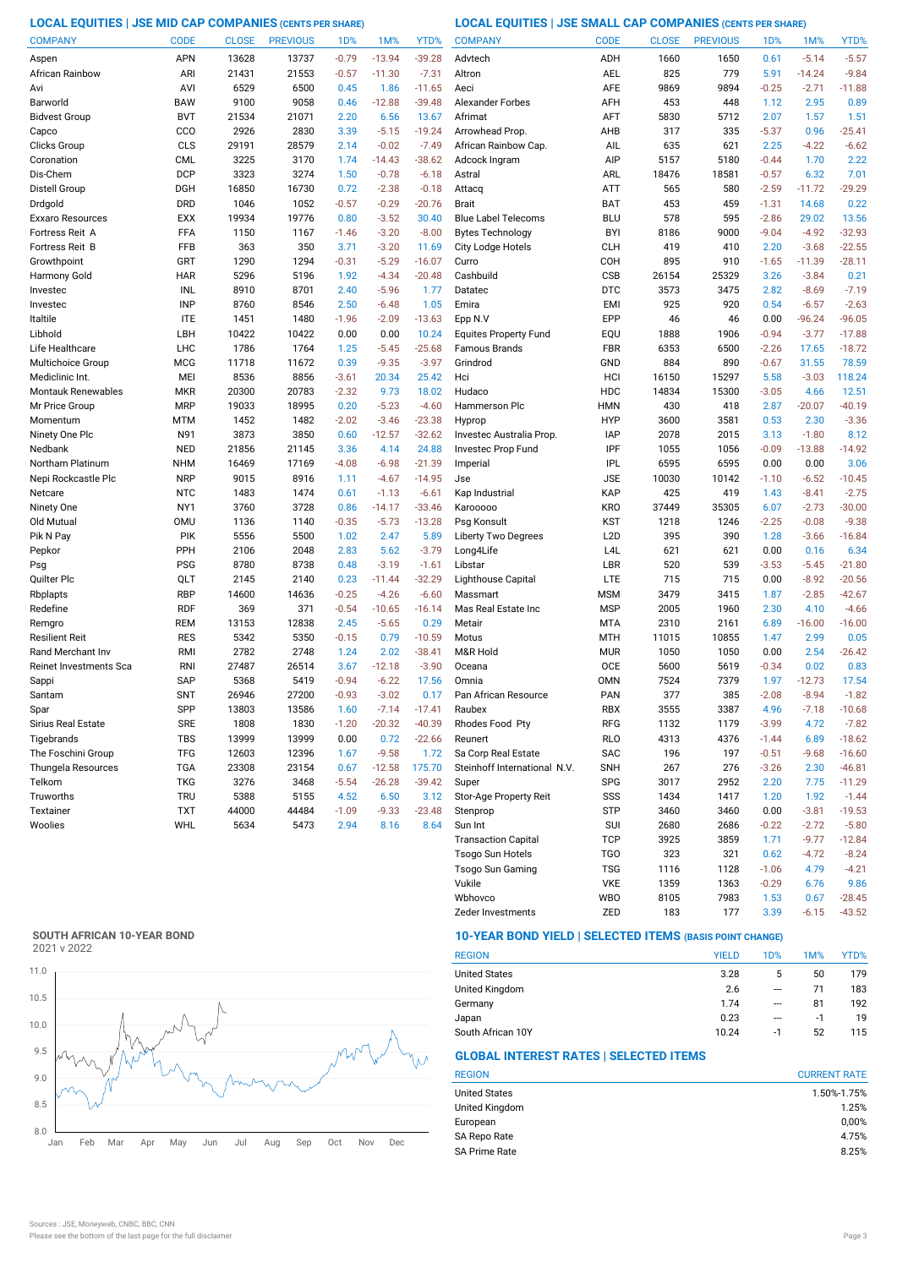# **LOCAL EQUITIES | JSE MID CAP COMPANIES (CENTS PER SHARE) LOCAL EQUITIES | JSE SMALL CAP COMPANIES (CENTS PER SHARE)**

| <b>COMPANY</b>                             | <b>CODE</b>       | <b>CLOSE</b> | <b>PREVIOUS</b> | 1 <sub>D</sub> % | 1M%          | YTD%                 | <b>COMPANY</b>               | <b>CODE</b>              | <b>CLOSE</b>  | <b>PREVIOUS</b> | 1 <sub>D</sub> % | 1M%          | YTD%             |
|--------------------------------------------|-------------------|--------------|-----------------|------------------|--------------|----------------------|------------------------------|--------------------------|---------------|-----------------|------------------|--------------|------------------|
| Aspen                                      | <b>APN</b>        | 13628        | 13737           | $-0.79$          | $-13.94$     | $-39.28$             | Advtech                      | ADH                      | 1660          | 1650            | 0.61             | $-5.14$      | $-5.57$          |
| African Rainbow                            | ARI               | 21431        | 21553           | $-0.57$          | $-11.30$     | $-7.31$              | Altron                       | AEL                      | 825           | 779             | 5.91             | $-14.24$     | $-9.84$          |
| Avi                                        | AVI               | 6529         | 6500            | 0.45             | 1.86         | $-11.65$             | Aeci                         | AFE                      | 9869          | 9894            | $-0.25$          | $-2.71$      | $-11.88$         |
| Barworld                                   | BAW               | 9100         | 9058            | 0.46             | $-12.88$     | $-39.48$             | <b>Alexander Forbes</b>      | AFH                      | 453           | 448             | 1.12             | 2.95         | 0.89             |
| <b>Bidvest Group</b>                       | <b>BVT</b>        | 21534        | 21071           | 2.20             | 6.56         | 13.67                | Afrimat                      | AFT                      | 5830          | 5712            | 2.07             | 1.57         | 1.51             |
| Capco                                      | CCO               | 2926         | 2830            | 3.39             | $-5.15$      | $-19.24$             | Arrowhead Prop.              | AHB                      | 317           | 335             | $-5.37$          | 0.96         | $-25.41$         |
| Clicks Group                               | <b>CLS</b>        | 29191        | 28579           | 2.14             | $-0.02$      | $-7.49$              | African Rainbow Cap.         | AIL                      | 635           | 621             | 2.25             | $-4.22$      | $-6.62$          |
| Coronation                                 | <b>CML</b>        | 3225         | 3170            | 1.74             | $-14.43$     | $-38.62$             | Adcock Ingram                | AIP                      | 5157          | 5180            | $-0.44$          | 1.70         | 2.22             |
| Dis-Chem                                   | <b>DCP</b>        | 3323         | 3274            | 1.50             | $-0.78$      | $-6.18$              | Astral                       | ARL                      | 18476         | 18581           | $-0.57$          | 6.32         | 7.01             |
| Distell Group                              | <b>DGH</b>        | 16850        | 16730           | 0.72             | $-2.38$      | $-0.18$              | Attacq                       | ATT                      | 565           | 580             | $-2.59$          | $-11.72$     | $-29.29$         |
| Drdgold                                    | <b>DRD</b>        | 1046         | 1052            | $-0.57$          | $-0.29$      | $-20.76$             | <b>Brait</b>                 | BAT                      | 453           | 459             | $-1.31$          | 14.68        | 0.22             |
| Exxaro Resources                           | EXX               | 19934        | 19776           | 0.80             | $-3.52$      | 30.40                | <b>Blue Label Telecoms</b>   | <b>BLU</b>               | 578           | 595             | $-2.86$          | 29.02        | 13.56            |
| Fortress Reit A                            | FFA               | 1150         | 1167            | $-1.46$          | $-3.20$      | $-8.00$              | <b>Bytes Technology</b>      | BYI                      | 8186          | 9000            | $-9.04$          | $-4.92$      | $-32.93$         |
| Fortress Reit B                            | FFB               | 363          | 350             | 3.71             | $-3.20$      | 11.69                | <b>City Lodge Hotels</b>     | <b>CLH</b>               | 419           | 410             | 2.20             | $-3.68$      | $-22.55$         |
| Growthpoint                                | GRT               | 1290         | 1294            | $-0.31$          | $-5.29$      | $-16.07$             | Curro                        | COH                      | 895           | 910             | $-1.65$          | $-11.39$     | $-28.11$         |
| Harmony Gold                               | <b>HAR</b>        | 5296         | 5196            | 1.92             | $-4.34$      | $-20.48$             | Cashbuild                    | <b>CSB</b>               | 26154         | 25329           | 3.26             | $-3.84$      | 0.21             |
| Investec                                   | INL               | 8910         | 8701            | 2.40             | $-5.96$      | 1.77                 | Datatec                      | <b>DTC</b>               | 3573          | 3475            | 2.82             | $-8.69$      | $-7.19$          |
| Investec                                   | <b>INP</b>        | 8760         | 8546            | 2.50             | $-6.48$      | 1.05                 | Emira                        | <b>EMI</b>               | 925           | 920             | 0.54             | $-6.57$      | $-2.63$          |
| Italtile                                   | <b>ITE</b>        | 1451         | 1480            | $-1.96$          | $-2.09$      | $-13.63$             | Epp N.V                      | <b>EPP</b>               | 46            | 46              | 0.00             | $-96.24$     | $-96.05$         |
| Libhold                                    | LBH               | 10422        | 10422           | 0.00             | 0.00         | 10.24                | <b>Equites Property Fund</b> | EQU                      | 1888          | 1906            | $-0.94$          | $-3.77$      | $-17.88$         |
| Life Healthcare                            | <b>LHC</b>        | 1786         | 1764            | 1.25             | $-5.45$      | $-25.68$             | <b>Famous Brands</b>         | <b>FBR</b>               | 6353          | 6500            | $-2.26$          | 17.65        | $-18.72$         |
| Multichoice Group                          | <b>MCG</b>        | 11718        | 11672           | 0.39             | $-9.35$      | $-3.97$              | Grindrod                     | GND                      | 884           | 890             | $-0.67$          | 31.55        | 78.59            |
| Mediclinic Int.                            | MEI               | 8536         | 8856            | $-3.61$          | 20.34        | 25.42                | Hci                          | HCI                      | 16150         | 15297           | 5.58             | $-3.03$      | 118.24           |
| Montauk Renewables                         | <b>MKR</b>        | 20300        | 20783           | $-2.32$          | 9.73         | 18.02                | Hudaco                       | HDC                      | 14834         | 15300           | $-3.05$          | 4.66         | 12.51            |
| Mr Price Group                             | <b>MRP</b>        | 19033        | 18995           | 0.20             | $-5.23$      | $-4.60$              | Hammerson Plc                | HMN                      | 430           | 418             | 2.87             | $-20.07$     | $-40.19$         |
| Momentum                                   | MTM               | 1452         | 1482            | $-2.02$          | $-3.46$      | $-23.38$             | Hyprop                       | <b>HYP</b>               | 3600          | 3581            | 0.53             | 2.30         | $-3.36$          |
| Ninety One Plc                             | N91               | 3873         | 3850            | 0.60             | $-12.57$     | $-32.62$             | Investec Australia Prop.     | IAP                      | 2078          | 2015            | 3.13             | $-1.80$      | 8.12             |
| Nedbank                                    | <b>NED</b>        | 21856        | 21145           | 3.36             | 4.14         | 24.88                | Investec Prop Fund           | IPF                      | 1055          | 1056            | $-0.09$          | $-13.88$     | $-14.92$         |
| Northam Platinum                           | <b>NHM</b>        | 16469        | 17169           | $-4.08$          | $-6.98$      | $-21.39$             | Imperial                     | <b>IPL</b>               | 6595          | 6595            | 0.00             | 0.00         | 3.06             |
| Nepi Rockcastle Plc                        | <b>NRP</b>        | 9015         | 8916            | 1.11             | $-4.67$      | $-14.95$             | Jse                          | <b>JSE</b>               | 10030         | 10142           | $-1.10$          | $-6.52$      | $-10.45$         |
| Netcare                                    | <b>NTC</b>        | 1483         | 1474            | 0.61             | $-1.13$      | $-6.61$              | Kap Industrial               | <b>KAP</b>               | 425           | 419             | 1.43             | $-8.41$      | $-2.75$          |
| Ninety One                                 | NY1               | 3760         | 3728            | 0.86             | $-14.17$     | $-33.46$             | Karooooo                     | <b>KRO</b>               | 37449         | 35305           | 6.07             | $-2.73$      | $-30.00$         |
| Old Mutual                                 | <b>OMU</b>        | 1136         | 1140            | $-0.35$          | $-5.73$      | $-13.28$             | Psg Konsult                  | <b>KST</b>               | 1218          | 1246            | $-2.25$          | $-0.08$      | $-9.38$          |
| Pik N Pay                                  | <b>PIK</b>        | 5556         | 5500            | 1.02             | 2.47         | 5.89                 | <b>Liberty Two Degrees</b>   | L <sub>2</sub> D         | 395           | 390             | 1.28             | $-3.66$      | $-16.84$         |
| Pepkor                                     | PPH               | 2106         | 2048            | 2.83             | 5.62         | $-3.79$              | Long4Life                    | L <sub>4</sub> L         | 621           | 621             | 0.00             | 0.16         | 6.34             |
| Psg                                        | <b>PSG</b>        | 8780         | 8738            | 0.48             | $-3.19$      | $-1.61$              | Libstar                      | LBR                      | 520           | 539             | $-3.53$          | $-5.45$      | $-21.80$         |
| Quilter Plc                                | QLT               | 2145         | 2140            | 0.23             | $-11.44$     | $-32.29$             | Lighthouse Capital           | LTE                      | 715           | 715             | 0.00             | $-8.92$      | $-20.56$         |
| Rbplapts                                   | <b>RBP</b>        | 14600        | 14636           | $-0.25$          | $-4.26$      | $-6.60$              | Massmart                     | <b>MSM</b>               | 3479          | 3415            | 1.87             | $-2.85$      | $-42.67$         |
| Redefine                                   | <b>RDF</b>        | 369          | 371             | $-0.54$          | $-10.65$     | $-16.14$             | Mas Real Estate Inc          | <b>MSP</b>               | 2005          | 1960            | 2.30             | 4.10         | $-4.66$          |
| Remgro                                     | <b>REM</b>        | 13153        | 12838           | 2.45             | $-5.65$      | 0.29                 | Metair                       | <b>MTA</b>               | 2310          | 2161            | 6.89             | $-16.00$     | $-16.00$         |
| Resilient Reit<br><b>Rand Merchant Inv</b> | <b>RES</b><br>RMI | 5342<br>2782 | 5350<br>2748    | $-0.15$<br>1.24  | 0.79<br>2.02 | $-10.59$<br>$-38.41$ | Motus<br>M&R Hold            | <b>MTH</b><br><b>MUR</b> | 11015<br>1050 | 10855<br>1050   | 1.47<br>0.00     | 2.99<br>2.54 | 0.05<br>$-26.42$ |
| <b>Reinet Investments Sca</b>              | <b>RNI</b>        | 27487        | 26514           | 3.67             | $-12.18$     | $-3.90$              | Oceana                       | OCE                      | 5600          | 5619            | $-0.34$          | 0.02         | 0.83             |
|                                            | <b>SAP</b>        | 5368         | 5419            | $-0.94$          | $-6.22$      | 17.56                | Omnia                        | OMN                      | 7524          | 7379            | 1.97             | $-12.73$     | 17.54            |
| Sappi<br>Santam                            | <b>SNT</b>        | 26946        | 27200           | $-0.93$          | $-3.02$      | 0.17                 | Pan African Resource         | <b>PAN</b>               | 377           | 385             | $-2.08$          | $-8.94$      | $-1.82$          |
| Spar                                       | SPP               | 13803        | 13586           | 1.60             | $-7.14$      | $-17.41$             | Raubex                       | RBX                      | 3555          | 3387            | 4.96             | -7.18        | -10.68           |
| Sirius Real Estate                         | <b>SRE</b>        | 1808         | 1830            | $-1.20$          | $-20.32$     | $-40.39$             | Rhodes Food Pty              | <b>RFG</b>               | 1132          | 1179            | $-3.99$          | 4.72         | $-7.82$          |
| Tigebrands                                 | <b>TBS</b>        | 13999        | 13999           | 0.00             | 0.72         | $-22.66$             | Reunert                      | RLO                      | 4313          | 4376            | $-1.44$          | 6.89         | $-18.62$         |
| The Foschini Group                         | <b>TFG</b>        | 12603        | 12396           | 1.67             | $-9.58$      | 1.72                 | Sa Corp Real Estate          | SAC                      | 196           | 197             | $-0.51$          | $-9.68$      | $-16.60$         |
| Thungela Resources                         | <b>TGA</b>        | 23308        | 23154           | 0.67             | $-12.58$     | 175.70               | Steinhoff International N.V. | <b>SNH</b>               | 267           | 276             | $-3.26$          | 2.30         | $-46.81$         |
| Telkom                                     | <b>TKG</b>        | 3276         | 3468            | $-5.54$          | $-26.28$     | $-39.42$             | Super                        | SPG                      | 3017          | 2952            | 2.20             | 7.75         | $-11.29$         |
| Truworths                                  | <b>TRU</b>        | 5388         | 5155            | 4.52             | 6.50         | 3.12                 | Stor-Age Property Reit       | SSS                      | 1434          | 1417            | 1.20             | 1.92         | $-1.44$          |
| Textainer                                  | <b>TXT</b>        | 44000        | 44484           | $-1.09$          | $-9.33$      | $-23.48$             | Stenprop                     | STP                      | 3460          | 3460            | 0.00             | $-3.81$      | $-19.53$         |
| Woolies                                    | WHL               | 5634         | 5473            | 2.94             | 8.16         | 8.64                 | Sun Int                      | <b>SUI</b>               | 2680          | 2686            | $-0.22$          | $-2.72$      | $-5.80$          |
|                                            |                   |              |                 |                  |              |                      | <b>Transaction Capital</b>   | <b>TCP</b>               | 3925          | 3859            | 1.71             | $-9.77$      | $-12.84$         |
|                                            |                   |              |                 |                  |              |                      | <b>Tsogo Sun Hotels</b>      | <b>TGO</b>               | 323           | 321             | 0.62             | $-4.72$      | $-8.24$          |
|                                            |                   |              |                 |                  |              |                      |                              |                          |               |                 |                  |              |                  |

# **SOUTH AFRICAN 10-YEAR BOND**

2021 v 2022



# **10-YEAR BOND YIELD | SELECTED ITEMS (BASIS POINT CHANGE)**

| <b>REGION</b>        | <b>YIELD</b> | 1D% | 1M% | YTD% |
|----------------------|--------------|-----|-----|------|
| <b>United States</b> | 3.28         | 5   | 50  | 179  |
| United Kingdom       | 2.6          | --- | 71  | 183  |
| Germany              | 1.74         | --- | 81  | 192  |
| Japan                | 0.23         | --- | -1  | 19   |
| South African 10Y    | 10.24        | -1  | 52  | 115  |

Wbhovco WBO 8105 7983 1.53 0.67 -28.45 Vukile VKE 1359 1363 -0.29 6.76

Zeder Investments 2ED 183 177 3.39 -6.15 -43.52

Tsogo Sun Gaming TSG 1116 1128 -1.06 4.79 -4.21

# **GLOBAL INTEREST RATES | SELECTED ITEMS**

| <b>CURRENT RATE</b> |  |  |  |
|---------------------|--|--|--|
| 1.50%-1.75%         |  |  |  |
| 1.25%               |  |  |  |
| 0,00%               |  |  |  |
| 4.75%               |  |  |  |
| 8.25%               |  |  |  |
|                     |  |  |  |

 $9.86$ <br>-28.45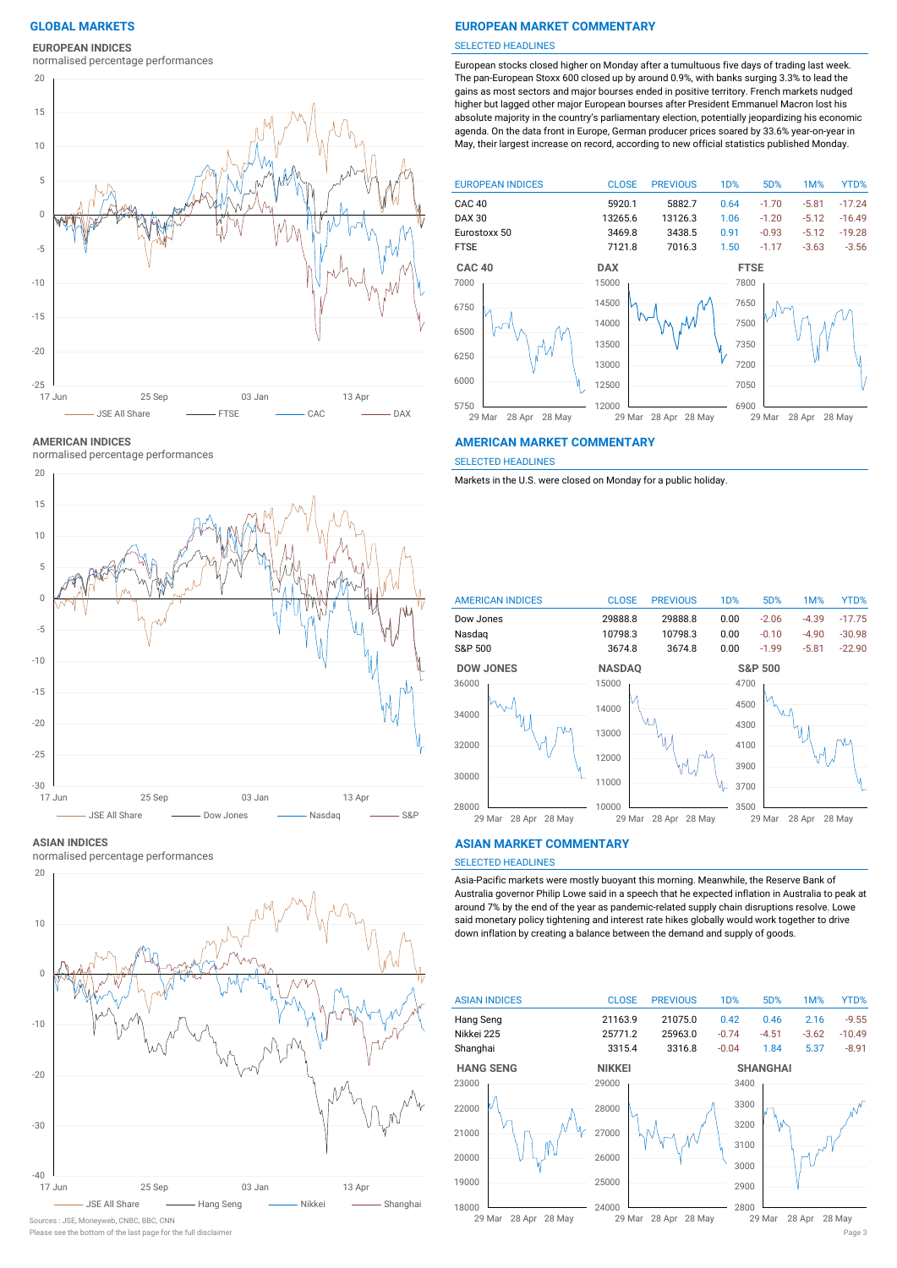# **EUROPEAN INDICES**

normalised percentage performances



**AMERICAN INDICES**

normalised percentage performances



#### **ASIAN INDICES**

normalised percentage performances



Please see the bottom of the last page for the full disclaimer Page 3 Sources : JSE, Moneyweb, CNBC, BBC, CNN

### **GLOBAL MARKETS EUROPEAN MARKET COMMENTARY**

#### SELECTED HEADLINES

European stocks closed higher on Monday after a tumultuous five days of trading last week. The pan-European Stoxx 600 closed up by around 0.9%, with banks surging 3.3% to lead the gains as most sectors and major bourses ended in positive territory. French markets nudged higher but lagged other major European bourses after President Emmanuel Macron lost his absolute majority in the country's parliamentary election, potentially jeopardizing his economic agenda. On the data front in Europe, German producer prices soared by 33.6% year-on-year in May, their largest increase on record, according to new official statistics published Monday.



#### **AMERICAN MARKET COMMENTARY**

SELECTED HEADLINES

Markets in the U.S. were closed on Monday for a public holiday.



#### **ASIAN MARKET COMMENTARY**

# SELECTED HEADLINES

Asia-Pacific markets were mostly buoyant this morning. Meanwhile, the Reserve Bank of Australia governor Philip Lowe said in a speech that he expected inflation in Australia to peak at around 7% by the end of the year as pandemic-related supply chain disruptions resolve. Lowe said monetary policy tightening and interest rate hikes globally would work together to drive down inflation by creating a balance between the demand and supply of goods.